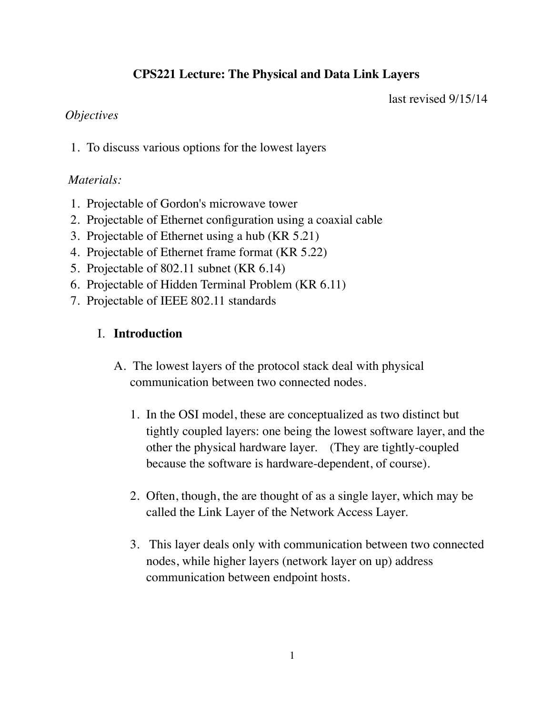# **CPS221 Lecture: The Physical and Data Link Layers**

last revised 9/15/14

### *Objectives*

1. To discuss various options for the lowest layers

### *Materials:*

- 1. Projectable of Gordon's microwave tower
- 2. Projectable of Ethernet configuration using a coaxial cable
- 3. Projectable of Ethernet using a hub (KR 5.21)
- 4. Projectable of Ethernet frame format (KR 5.22)
- 5. Projectable of 802.11 subnet (KR 6.14)
- 6. Projectable of Hidden Terminal Problem (KR 6.11)
- 7. Projectable of IEEE 802.11 standards

# I. **Introduction**

- A. The lowest layers of the protocol stack deal with physical communication between two connected nodes.
	- 1. In the OSI model, these are conceptualized as two distinct but tightly coupled layers: one being the lowest software layer, and the other the physical hardware layer. (They are tightly-coupled because the software is hardware-dependent, of course).
	- 2. Often, though, the are thought of as a single layer, which may be called the Link Layer of the Network Access Layer.
	- 3. This layer deals only with communication between two connected nodes, while higher layers (network layer on up) address communication between endpoint hosts.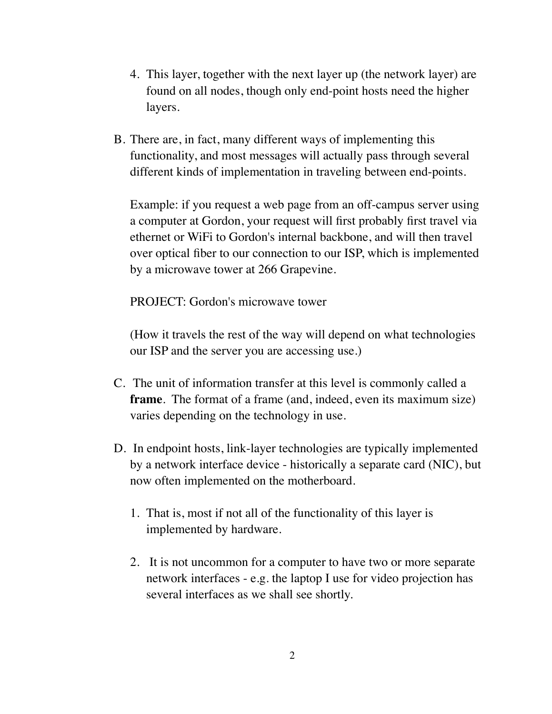- 4. This layer, together with the next layer up (the network layer) are found on all nodes, though only end-point hosts need the higher layers.
- B. There are, in fact, many different ways of implementing this functionality, and most messages will actually pass through several different kinds of implementation in traveling between end-points.

Example: if you request a web page from an off-campus server using a computer at Gordon, your request will first probably first travel via ethernet or WiFi to Gordon's internal backbone, and will then travel over optical fiber to our connection to our ISP, which is implemented by a microwave tower at 266 Grapevine.

PROJECT: Gordon's microwave tower

(How it travels the rest of the way will depend on what technologies our ISP and the server you are accessing use.)

- C. The unit of information transfer at this level is commonly called a **frame**. The format of a frame (and, indeed, even its maximum size) varies depending on the technology in use.
- D. In endpoint hosts, link-layer technologies are typically implemented by a network interface device - historically a separate card (NIC), but now often implemented on the motherboard.
	- 1. That is, most if not all of the functionality of this layer is implemented by hardware.
	- 2. It is not uncommon for a computer to have two or more separate network interfaces - e.g. the laptop I use for video projection has several interfaces as we shall see shortly.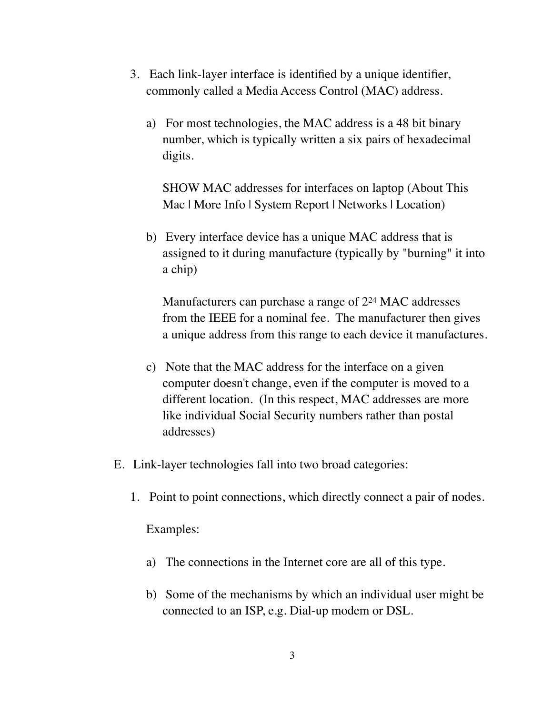- 3. Each link-layer interface is identified by a unique identifier, commonly called a Media Access Control (MAC) address.
	- a) For most technologies, the MAC address is a 48 bit binary number, which is typically written a six pairs of hexadecimal digits.

SHOW MAC addresses for interfaces on laptop (About This Mac | More Info | System Report | Networks | Location)

b) Every interface device has a unique MAC address that is assigned to it during manufacture (typically by "burning" it into a chip)

Manufacturers can purchase a range of 224 MAC addresses from the IEEE for a nominal fee. The manufacturer then gives a unique address from this range to each device it manufactures.

- c) Note that the MAC address for the interface on a given computer doesn't change, even if the computer is moved to a different location. (In this respect, MAC addresses are more like individual Social Security numbers rather than postal addresses)
- E. Link-layer technologies fall into two broad categories:
	- 1. Point to point connections, which directly connect a pair of nodes.

Examples:

- a) The connections in the Internet core are all of this type.
- b) Some of the mechanisms by which an individual user might be connected to an ISP, e.g. Dial-up modem or DSL.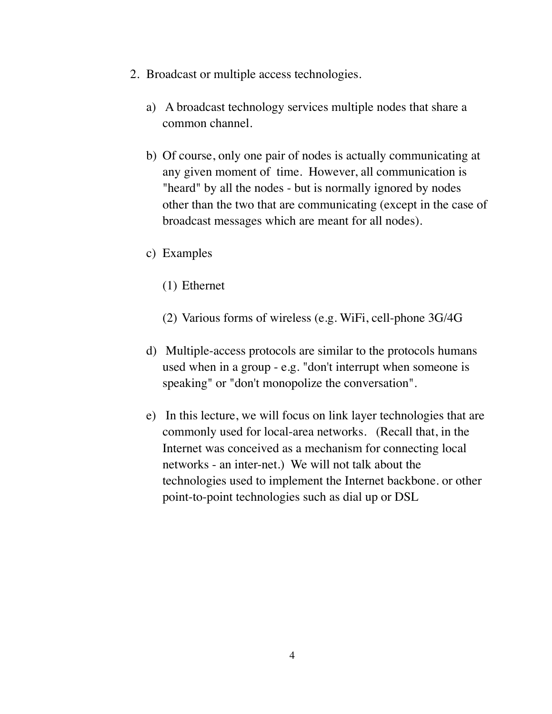- 2. Broadcast or multiple access technologies.
	- a) A broadcast technology services multiple nodes that share a common channel.
	- b) Of course, only one pair of nodes is actually communicating at any given moment of time. However, all communication is "heard" by all the nodes - but is normally ignored by nodes other than the two that are communicating (except in the case of broadcast messages which are meant for all nodes).
	- c) Examples
		- (1) Ethernet
		- (2) Various forms of wireless (e.g. WiFi, cell-phone 3G/4G
	- d) Multiple-access protocols are similar to the protocols humans used when in a group - e.g. "don't interrupt when someone is speaking" or "don't monopolize the conversation".
	- e) In this lecture, we will focus on link layer technologies that are commonly used for local-area networks. (Recall that, in the Internet was conceived as a mechanism for connecting local networks - an inter-net.) We will not talk about the technologies used to implement the Internet backbone. or other point-to-point technologies such as dial up or DSL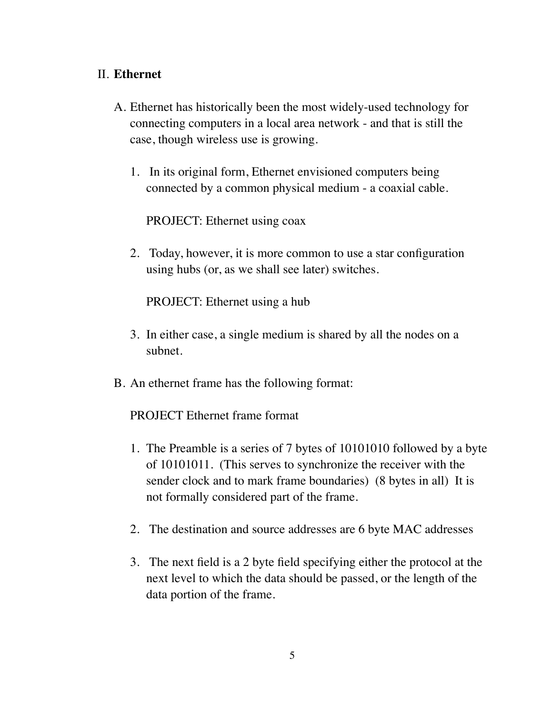# II. **Ethernet**

- A. Ethernet has historically been the most widely-used technology for connecting computers in a local area network - and that is still the case, though wireless use is growing.
	- 1. In its original form, Ethernet envisioned computers being connected by a common physical medium - a coaxial cable.

PROJECT: Ethernet using coax

2. Today, however, it is more common to use a star configuration using hubs (or, as we shall see later) switches.

PROJECT: Ethernet using a hub

- 3. In either case, a single medium is shared by all the nodes on a subnet.
- B. An ethernet frame has the following format:

## PROJECT Ethernet frame format

- 1. The Preamble is a series of 7 bytes of 10101010 followed by a byte of 10101011. (This serves to synchronize the receiver with the sender clock and to mark frame boundaries) (8 bytes in all) It is not formally considered part of the frame.
- 2. The destination and source addresses are 6 byte MAC addresses
- 3. The next field is a 2 byte field specifying either the protocol at the next level to which the data should be passed, or the length of the data portion of the frame.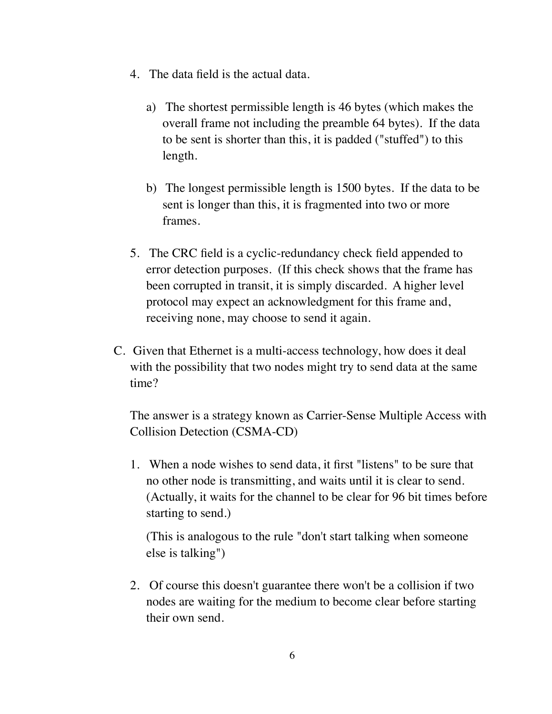- 4. The data field is the actual data.
	- a) The shortest permissible length is 46 bytes (which makes the overall frame not including the preamble 64 bytes). If the data to be sent is shorter than this, it is padded ("stuffed") to this length.
	- b) The longest permissible length is 1500 bytes. If the data to be sent is longer than this, it is fragmented into two or more frames.
- 5. The CRC field is a cyclic-redundancy check field appended to error detection purposes. (If this check shows that the frame has been corrupted in transit, it is simply discarded. A higher level protocol may expect an acknowledgment for this frame and, receiving none, may choose to send it again.
- C. Given that Ethernet is a multi-access technology, how does it deal with the possibility that two nodes might try to send data at the same time?

The answer is a strategy known as Carrier-Sense Multiple Access with Collision Detection (CSMA-CD)

1. When a node wishes to send data, it first "listens" to be sure that no other node is transmitting, and waits until it is clear to send. (Actually, it waits for the channel to be clear for 96 bit times before starting to send.)

(This is analogous to the rule "don't start talking when someone else is talking")

2. Of course this doesn't guarantee there won't be a collision if two nodes are waiting for the medium to become clear before starting their own send.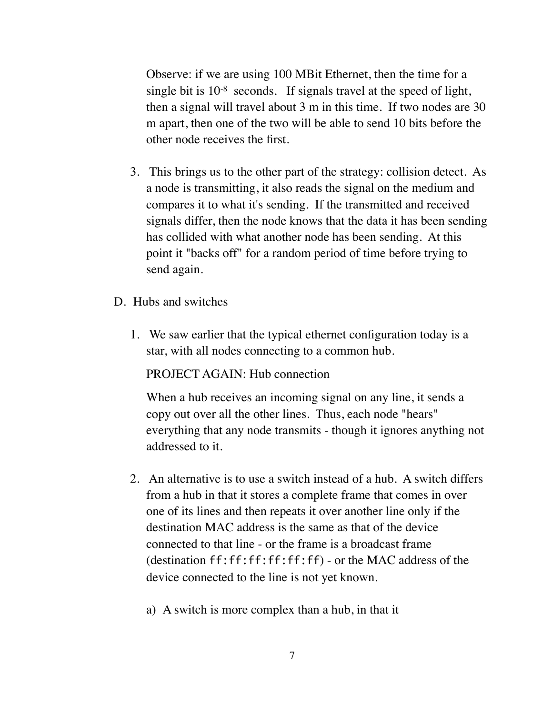Observe: if we are using 100 MBit Ethernet, then the time for a single bit is 10-8 seconds. If signals travel at the speed of light, then a signal will travel about 3 m in this time. If two nodes are 30 m apart, then one of the two will be able to send 10 bits before the other node receives the first.

- 3. This brings us to the other part of the strategy: collision detect. As a node is transmitting, it also reads the signal on the medium and compares it to what it's sending. If the transmitted and received signals differ, then the node knows that the data it has been sending has collided with what another node has been sending. At this point it "backs off" for a random period of time before trying to send again.
- D. Hubs and switches
	- 1. We saw earlier that the typical ethernet configuration today is a star, with all nodes connecting to a common hub.

#### PROJECT AGAIN: Hub connection

When a hub receives an incoming signal on any line, it sends a copy out over all the other lines. Thus, each node "hears" everything that any node transmits - though it ignores anything not addressed to it.

- 2. An alternative is to use a switch instead of a hub. A switch differs from a hub in that it stores a complete frame that comes in over one of its lines and then repeats it over another line only if the destination MAC address is the same as that of the device connected to that line - or the frame is a broadcast frame (destination ff:ff:ff:ff:ff:ff) - or the MAC address of the device connected to the line is not yet known.
	- a) A switch is more complex than a hub, in that it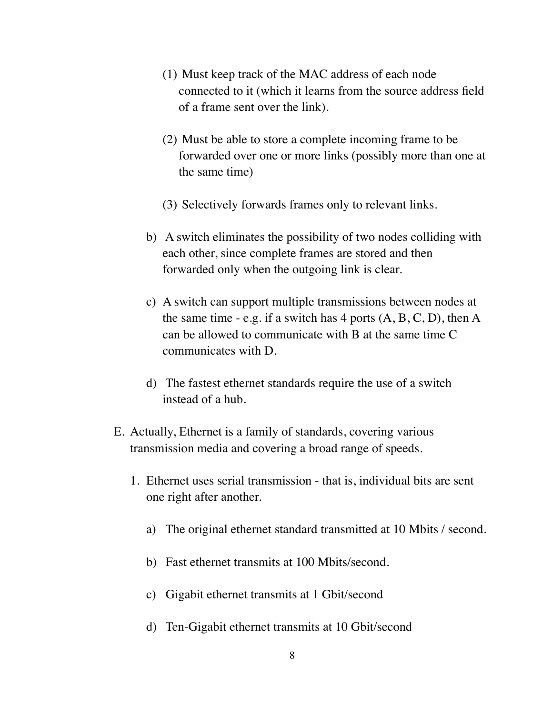- (1) Must keep track of the MAC address of each node connected to it (which it learns from the source address field of a frame sent over the link).
- (2) Must be able to store a complete incoming frame to be forwarded over one or more links (possibly more than one at the same time)
- (3) Selectively forwards frames only to relevant links.
- b) A switch eliminates the possibility of two nodes colliding with each other, since complete frames are stored and then forwarded only when the outgoing link is clear.
- c) A switch can support multiple transmissions between nodes at the same time - e.g. if a switch has  $4$  ports  $(A, B, C, D)$ , then A can be allowed to communicate with B at the same time C communicates with D.
- d) The fastest ethernet standards require the use of a switch instead of a hub.
- E. Actually, Ethernet is a family of standards, covering various transmission media and covering a broad range of speeds.
	- 1. Ethernet uses serial transmission that is, individual bits are sent one right after another.
		- a) The original ethernet standard transmitted at 10 Mbits / second.
		- b) Fast ethernet transmits at 100 Mbits/second.
		- c) Gigabit ethernet transmits at 1 Gbit/second
		- d) Ten-Gigabit ethernet transmits at 10 Gbit/second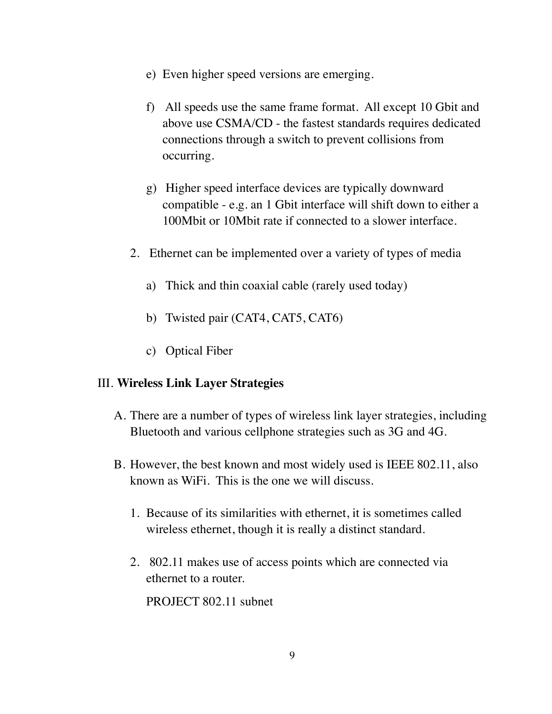- e) Even higher speed versions are emerging.
- f) All speeds use the same frame format. All except 10 Gbit and above use CSMA/CD - the fastest standards requires dedicated connections through a switch to prevent collisions from occurring.
- g) Higher speed interface devices are typically downward compatible - e.g. an 1 Gbit interface will shift down to either a 100Mbit or 10Mbit rate if connected to a slower interface.
- 2. Ethernet can be implemented over a variety of types of media
	- a) Thick and thin coaxial cable (rarely used today)
	- b) Twisted pair (CAT4, CAT5, CAT6)
	- c) Optical Fiber

### III. **Wireless Link Layer Strategies**

- A. There are a number of types of wireless link layer strategies, including Bluetooth and various cellphone strategies such as 3G and 4G.
- B. However, the best known and most widely used is IEEE 802.11, also known as WiFi. This is the one we will discuss.
	- 1. Because of its similarities with ethernet, it is sometimes called wireless ethernet, though it is really a distinct standard.
	- 2. 802.11 makes use of access points which are connected via ethernet to a router.

PROJECT 802.11 subnet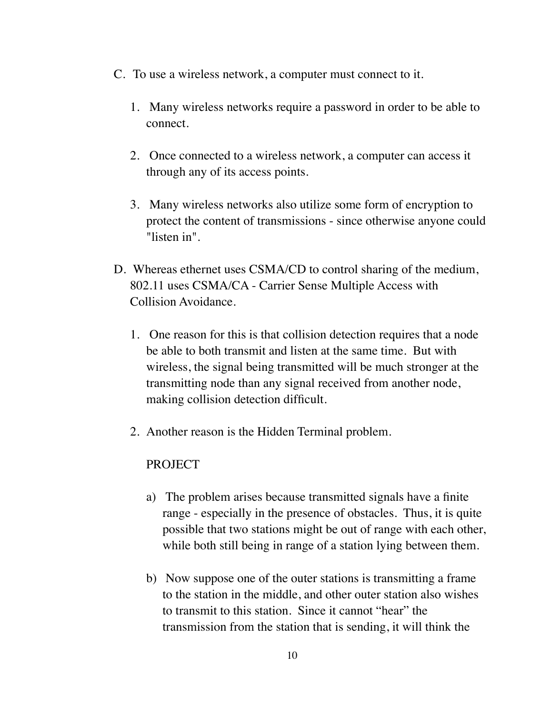- C. To use a wireless network, a computer must connect to it.
	- 1. Many wireless networks require a password in order to be able to connect.
	- 2. Once connected to a wireless network, a computer can access it through any of its access points.
	- 3. Many wireless networks also utilize some form of encryption to protect the content of transmissions - since otherwise anyone could "listen in".
- D. Whereas ethernet uses CSMA/CD to control sharing of the medium, 802.11 uses CSMA/CA - Carrier Sense Multiple Access with Collision Avoidance.
	- 1. One reason for this is that collision detection requires that a node be able to both transmit and listen at the same time. But with wireless, the signal being transmitted will be much stronger at the transmitting node than any signal received from another node, making collision detection difficult.
	- 2. Another reason is the Hidden Terminal problem.

#### **PROJECT**

- a) The problem arises because transmitted signals have a finite range - especially in the presence of obstacles. Thus, it is quite possible that two stations might be out of range with each other, while both still being in range of a station lying between them.
- b) Now suppose one of the outer stations is transmitting a frame to the station in the middle, and other outer station also wishes to transmit to this station. Since it cannot "hear" the transmission from the station that is sending, it will think the